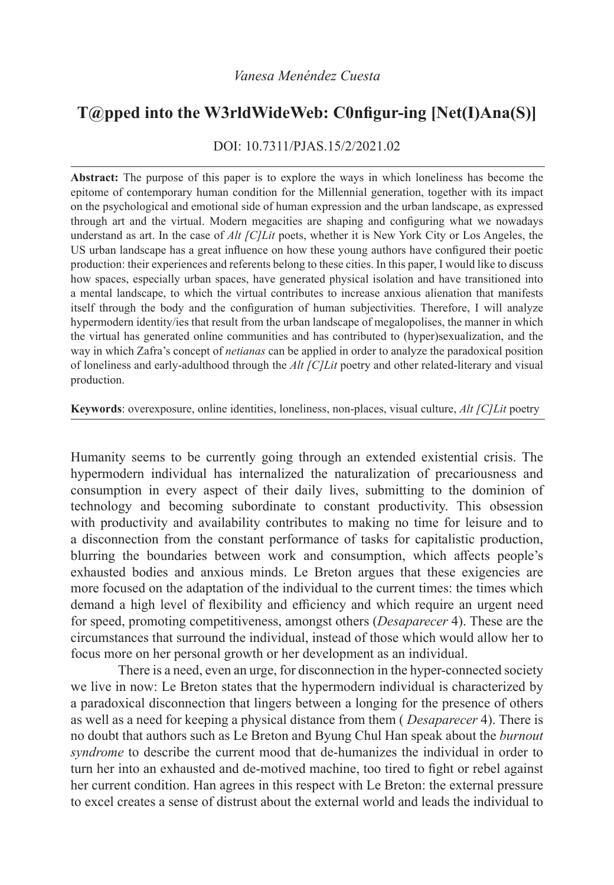## **T@pped into the W3rldWideWeb: C0nfigur-ing [Net(I)Ana(S)]**

DOI: 10.7311/PJAS.15/2/2021.02

**Abstract:** The purpose of this paper is to explore the ways in which loneliness has become the epitome of contemporary human condition for the Millennial generation, together with its impact on the psychological and emotional side of human expression and the urban landscape, as expressed through art and the virtual. Modern megacities are shaping and configuring what we nowadays understand as art. In the case of *Alt [C]Lit* poets, whether it is New York City or Los Angeles, the US urban landscape has a great influence on how these young authors have configured their poetic production: their experiences and referents belong to these cities. In this paper, I would like to discuss how spaces, especially urban spaces, have generated physical isolation and have transitioned into a mental landscape, to which the virtual contributes to increase anxious alienation that manifests itself through the body and the configuration of human subjectivities. Therefore, I will analyze hypermodern identity/ies that result from the urban landscape of megalopolises, the manner in which the virtual has generated online communities and has contributed to (hyper)sexualization, and the way in which Zafra's concept of *netianas* can be applied in order to analyze the paradoxical position of loneliness and early-adulthood through the *Alt [C]Lit* poetry and other related-literary and visual production.

**Keywords**: overexposure, online identities, loneliness, non-places, visual culture, *Alt [C]Lit* poetry

Humanity seems to be currently going through an extended existential crisis. The hypermodern individual has internalized the naturalization of precariousness and consumption in every aspect of their daily lives, submitting to the dominion of technology and becoming subordinate to constant productivity. This obsession with productivity and availability contributes to making no time for leisure and to a disconnection from the constant performance of tasks for capitalistic production, blurring the boundaries between work and consumption, which affects people's exhausted bodies and anxious minds. Le Breton argues that these exigencies are more focused on the adaptation of the individual to the current times: the times which demand a high level of flexibility and efficiency and which require an urgent need for speed, promoting competitiveness, amongst others (*Desaparecer* 4). These are the circumstances that surround the individual, instead of those which would allow her to focus more on her personal growth or her development as an individual.

There is a need, even an urge, for disconnection in the hyper-connected society we live in now: Le Breton states that the hypermodern individual is characterized by a paradoxical disconnection that lingers between a longing for the presence of others as well as a need for keeping a physical distance from them ( *Desaparecer* 4). There is no doubt that authors such as Le Breton and Byung Chul Han speak about the *burnout syndrome* to describe the current mood that de-humanizes the individual in order to turn her into an exhausted and de-motived machine, too tired to fight or rebel against her current condition. Han agrees in this respect with Le Breton: the external pressure to excel creates a sense of distrust about the external world and leads the individual to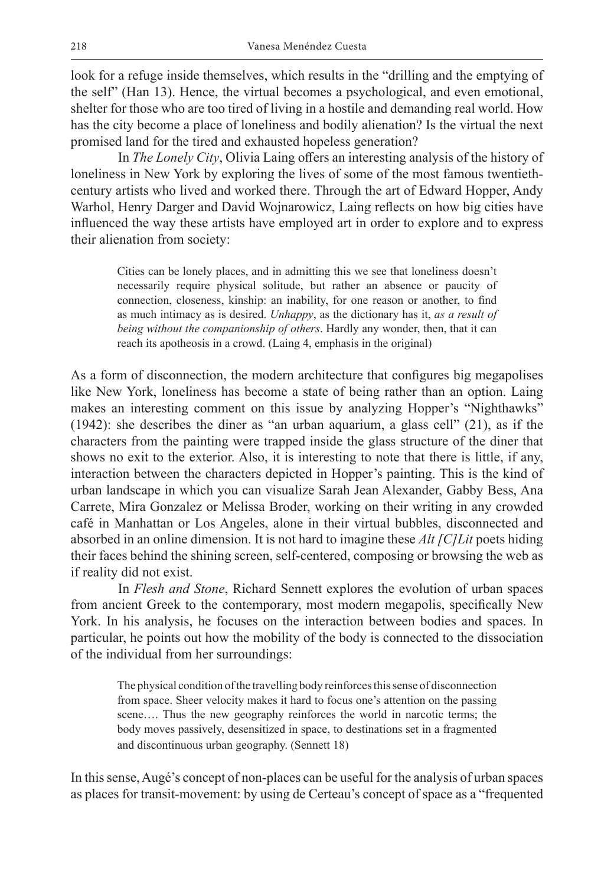look for a refuge inside themselves, which results in the "drilling and the emptying of the self" (Han 13). Hence, the virtual becomes a psychological, and even emotional, shelter for those who are too tired of living in a hostile and demanding real world. How has the city become a place of loneliness and bodily alienation? Is the virtual the next promised land for the tired and exhausted hopeless generation?

In *The Lonely City*, Olivia Laing offers an interesting analysis of the history of loneliness in New York by exploring the lives of some of the most famous twentiethcentury artists who lived and worked there. Through the art of Edward Hopper, Andy Warhol, Henry Darger and David Wojnarowicz, Laing reflects on how big cities have influenced the way these artists have employed art in order to explore and to express their alienation from society:

Cities can be lonely places, and in admitting this we see that loneliness doesn't necessarily require physical solitude, but rather an absence or paucity of connection, closeness, kinship: an inability, for one reason or another, to find as much intimacy as is desired. *Unhappy*, as the dictionary has it, *as a result of being without the companionship of others*. Hardly any wonder, then, that it can reach its apotheosis in a crowd. (Laing 4, emphasis in the original)

As a form of disconnection, the modern architecture that configures big megapolises like New York, loneliness has become a state of being rather than an option. Laing makes an interesting comment on this issue by analyzing Hopper's "Nighthawks" (1942): she describes the diner as "an urban aquarium, a glass cell" (21), as if the characters from the painting were trapped inside the glass structure of the diner that shows no exit to the exterior. Also, it is interesting to note that there is little, if any, interaction between the characters depicted in Hopper's painting. This is the kind of urban landscape in which you can visualize Sarah Jean Alexander, Gabby Bess, Ana Carrete, Mira Gonzalez or Melissa Broder, working on their writing in any crowded café in Manhattan or Los Angeles, alone in their virtual bubbles, disconnected and absorbed in an online dimension. It is not hard to imagine these *Alt [C]Lit* poets hiding their faces behind the shining screen, self-centered, composing or browsing the web as if reality did not exist.

In *Flesh and Stone*, Richard Sennett explores the evolution of urban spaces from ancient Greek to the contemporary, most modern megapolis, specifically New York. In his analysis, he focuses on the interaction between bodies and spaces. In particular, he points out how the mobility of the body is connected to the dissociation of the individual from her surroundings:

The physical condition of the travelling body reinforces this sense of disconnection from space. Sheer velocity makes it hard to focus one's attention on the passing scene…. Thus the new geography reinforces the world in narcotic terms; the body moves passively, desensitized in space, to destinations set in a fragmented and discontinuous urban geography. (Sennett 18)

In this sense, Augé's concept of non-places can be useful for the analysis of urban spaces as places for transit-movement: by using de Certeau's concept of space as a "frequented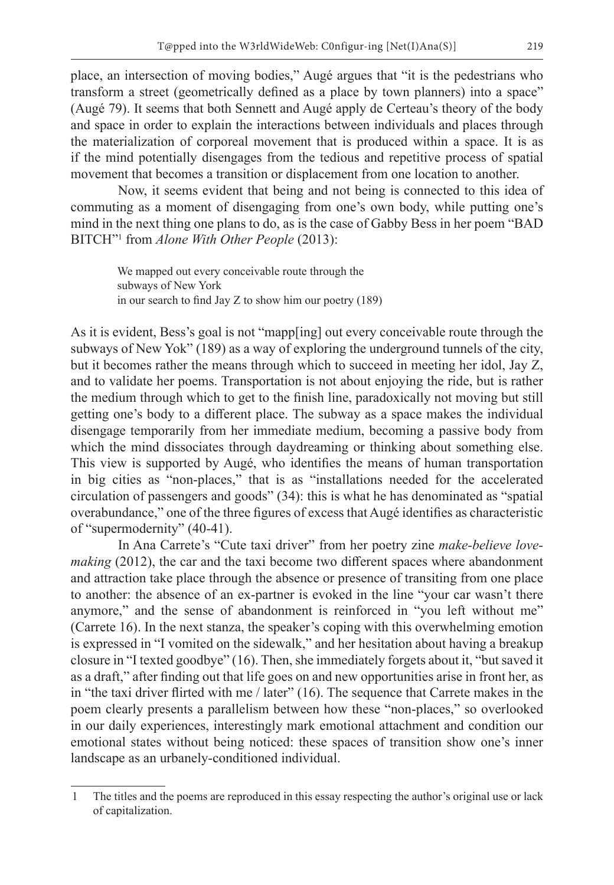place, an intersection of moving bodies," Augé argues that "it is the pedestrians who transform a street (geometrically defined as a place by town planners) into a space" (Augé 79). It seems that both Sennett and Augé apply de Certeau's theory of the body and space in order to explain the interactions between individuals and places through the materialization of corporeal movement that is produced within a space. It is as if the mind potentially disengages from the tedious and repetitive process of spatial movement that becomes a transition or displacement from one location to another.

Now, it seems evident that being and not being is connected to this idea of commuting as a moment of disengaging from one's own body, while putting one's mind in the next thing one plans to do, as is the case of Gabby Bess in her poem "BAD BITCH"1 from *Alone With Other People* (2013):

We mapped out every conceivable route through the subways of New York in our search to find Jay Z to show him our poetry (189)

As it is evident, Bess's goal is not "mapp[ing] out every conceivable route through the subways of New Yok" (189) as a way of exploring the underground tunnels of the city, but it becomes rather the means through which to succeed in meeting her idol, Jay Z, and to validate her poems. Transportation is not about enjoying the ride, but is rather the medium through which to get to the finish line, paradoxically not moving but still getting one's body to a different place. The subway as a space makes the individual disengage temporarily from her immediate medium, becoming a passive body from which the mind dissociates through daydreaming or thinking about something else. This view is supported by Augé, who identifies the means of human transportation in big cities as "non-places," that is as "installations needed for the accelerated circulation of passengers and goods" (34): this is what he has denominated as "spatial overabundance," one of the three figures of excess that Augé identifies as characteristic of "supermodernity" (40-41).

In Ana Carrete's "Cute taxi driver" from her poetry zine *make-believe lovemaking* (2012), the car and the taxi become two different spaces where abandonment and attraction take place through the absence or presence of transiting from one place to another: the absence of an ex-partner is evoked in the line "your car wasn't there anymore," and the sense of abandonment is reinforced in "you left without me" (Carrete 16). In the next stanza, the speaker's coping with this overwhelming emotion is expressed in "I vomited on the sidewalk," and her hesitation about having a breakup closure in "I texted goodbye" (16). Then, she immediately forgets about it, "but saved it as a draft," after finding out that life goes on and new opportunities arise in front her, as in "the taxi driver flirted with me / later" (16). The sequence that Carrete makes in the poem clearly presents a parallelism between how these "non-places," so overlooked in our daily experiences, interestingly mark emotional attachment and condition our emotional states without being noticed: these spaces of transition show one's inner landscape as an urbanely-conditioned individual.

<sup>1</sup> The titles and the poems are reproduced in this essay respecting the author's original use or lack of capitalization.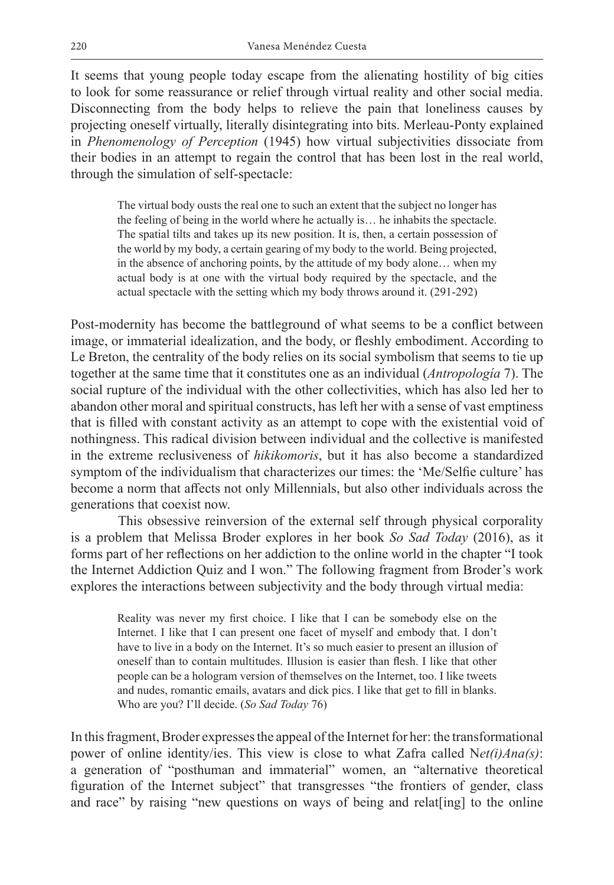It seems that young people today escape from the alienating hostility of big cities to look for some reassurance or relief through virtual reality and other social media. Disconnecting from the body helps to relieve the pain that loneliness causes by projecting oneself virtually, literally disintegrating into bits. Merleau-Ponty explained in *Phenomenology of Perception* (1945) how virtual subjectivities dissociate from their bodies in an attempt to regain the control that has been lost in the real world, through the simulation of self-spectacle:

The virtual body ousts the real one to such an extent that the subject no longer has the feeling of being in the world where he actually is… he inhabits the spectacle. The spatial tilts and takes up its new position. It is, then, a certain possession of the world by my body, a certain gearing of my body to the world. Being projected, in the absence of anchoring points, by the attitude of my body alone… when my actual body is at one with the virtual body required by the spectacle, and the actual spectacle with the setting which my body throws around it. (291-292)

Post-modernity has become the battleground of what seems to be a conflict between image, or immaterial idealization, and the body, or fleshly embodiment. According to Le Breton, the centrality of the body relies on its social symbolism that seems to tie up together at the same time that it constitutes one as an individual (*Antropología* 7). The social rupture of the individual with the other collectivities, which has also led her to abandon other moral and spiritual constructs, has left her with a sense of vast emptiness that is filled with constant activity as an attempt to cope with the existential void of nothingness. This radical division between individual and the collective is manifested in the extreme reclusiveness of *hikikomoris*, but it has also become a standardized symptom of the individualism that characterizes our times: the 'Me/Selfie culture' has become a norm that affects not only Millennials, but also other individuals across the generations that coexist now.

This obsessive reinversion of the external self through physical corporality is a problem that Melissa Broder explores in her book *So Sad Today* (2016), as it forms part of her reflections on her addiction to the online world in the chapter "I took the Internet Addiction Quiz and I won." The following fragment from Broder's work explores the interactions between subjectivity and the body through virtual media:

Reality was never my first choice. I like that I can be somebody else on the Internet. I like that I can present one facet of myself and embody that. I don't have to live in a body on the Internet. It's so much easier to present an illusion of oneself than to contain multitudes. Illusion is easier than flesh. I like that other people can be a hologram version of themselves on the Internet, too. I like tweets and nudes, romantic emails, avatars and dick pics. I like that get to fill in blanks. Who are you? I'll decide. (*So Sad Today* 76)

In this fragment, Broder expresses the appeal of the Internet for her: the transformational power of online identity/ies. This view is close to what Zafra called N*et(i)Ana(s)*: a generation of "posthuman and immaterial" women, an "alternative theoretical figuration of the Internet subject" that transgresses "the frontiers of gender, class and race" by raising "new questions on ways of being and relat[ing] to the online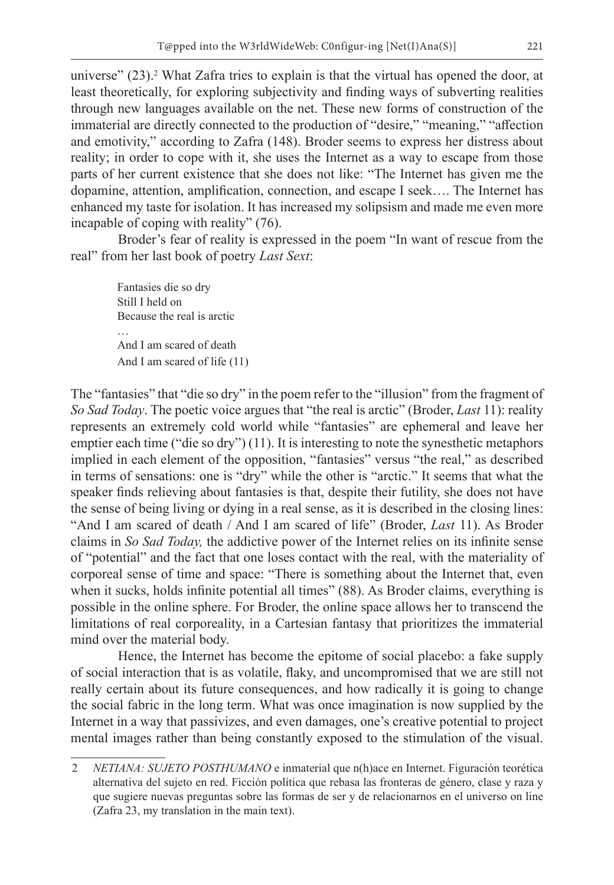universe" (23).<sup>2</sup> What Zafra tries to explain is that the virtual has opened the door, at least theoretically, for exploring subjectivity and finding ways of subverting realities through new languages available on the net. These new forms of construction of the immaterial are directly connected to the production of "desire," "meaning," "affection and emotivity," according to Zafra (148). Broder seems to express her distress about reality; in order to cope with it, she uses the Internet as a way to escape from those parts of her current existence that she does not like: "The Internet has given me the dopamine, attention, amplification, connection, and escape I seek…. The Internet has enhanced my taste for isolation. It has increased my solipsism and made me even more incapable of coping with reality" (76).

Broder's fear of reality is expressed in the poem "In want of rescue from the real" from her last book of poetry *Last Sext*:

Fantasies die so dry Still I held on Because the real is arctic And I am scared of death And I am scared of life (11)

The "fantasies" that "die so dry" in the poem refer to the "illusion" from the fragment of *So Sad Today*. The poetic voice argues that "the real is arctic" (Broder, *Last* 11): reality represents an extremely cold world while "fantasies" are ephemeral and leave her emptier each time ("die so dry") (11). It is interesting to note the synesthetic metaphors implied in each element of the opposition, "fantasies" versus "the real," as described in terms of sensations: one is "dry" while the other is "arctic." It seems that what the speaker finds relieving about fantasies is that, despite their futility, she does not have the sense of being living or dying in a real sense, as it is described in the closing lines: "And I am scared of death / And I am scared of life" (Broder, *Last* 11). As Broder claims in *So Sad Today,* the addictive power of the Internet relies on its infinite sense of "potential" and the fact that one loses contact with the real, with the materiality of corporeal sense of time and space: "There is something about the Internet that, even when it sucks, holds infinite potential all times" (88). As Broder claims, everything is possible in the online sphere. For Broder, the online space allows her to transcend the limitations of real corporeality, in a Cartesian fantasy that prioritizes the immaterial mind over the material body.

Hence, the Internet has become the epitome of social placebo: a fake supply of social interaction that is as volatile, flaky, and uncompromised that we are still not really certain about its future consequences, and how radically it is going to change the social fabric in the long term. What was once imagination is now supplied by the Internet in a way that passivizes, and even damages, one's creative potential to project mental images rather than being constantly exposed to the stimulation of the visual.

<sup>2</sup> *NETIANA: SUJETO POSTHUMANO* e inmaterial que n(h)ace en Internet. Figuración teorética alternativa del sujeto en red. Ficción política que rebasa las fronteras de género, clase y raza y que sugiere nuevas preguntas sobre las formas de ser y de relacionarnos en el universo on line (Zafra 23, my translation in the main text).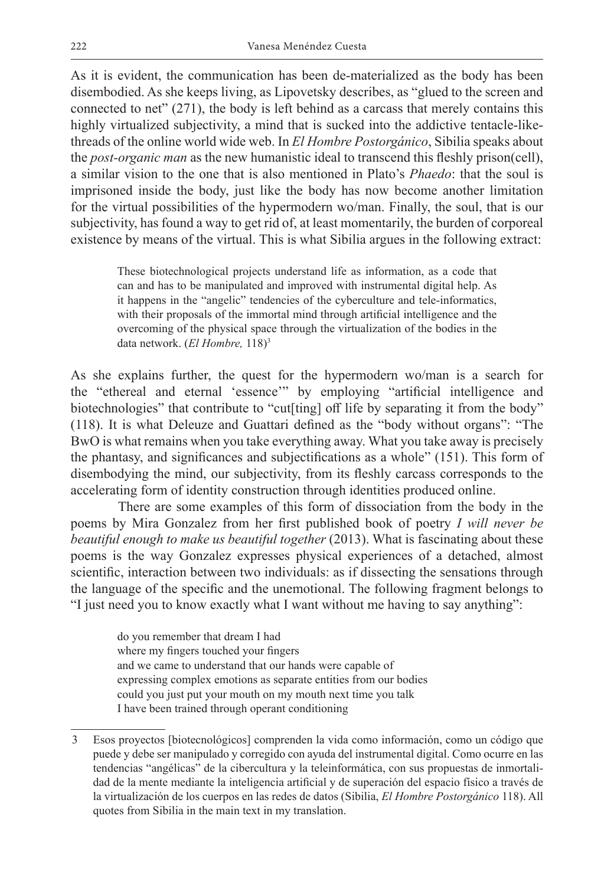As it is evident, the communication has been de-materialized as the body has been disembodied. As she keeps living, as Lipovetsky describes, as "glued to the screen and connected to net" (271), the body is left behind as a carcass that merely contains this highly virtualized subjectivity, a mind that is sucked into the addictive tentacle-likethreads of the online world wide web. In *El Hombre Postorgánico*, Sibilia speaks about the *post-organic man* as the new humanistic ideal to transcend this fleshly prison(cell), a similar vision to the one that is also mentioned in Plato's *Phaedo*: that the soul is imprisoned inside the body, just like the body has now become another limitation for the virtual possibilities of the hypermodern wo/man. Finally, the soul, that is our subjectivity, has found a way to get rid of, at least momentarily, the burden of corporeal existence by means of the virtual. This is what Sibilia argues in the following extract:

These biotechnological projects understand life as information, as a code that can and has to be manipulated and improved with instrumental digital help. As it happens in the "angelic" tendencies of the cyberculture and tele-informatics, with their proposals of the immortal mind through artificial intelligence and the overcoming of the physical space through the virtualization of the bodies in the data network. (*El Hombre,* 118)3

As she explains further, the quest for the hypermodern wo/man is a search for the "ethereal and eternal 'essence'" by employing "artificial intelligence and biotechnologies" that contribute to "cut[ting] off life by separating it from the body" (118). It is what Deleuze and Guattari defined as the "body without organs": "The BwO is what remains when you take everything away. What you take away is precisely the phantasy, and significances and subjectifications as a whole" (151). This form of disembodying the mind, our subjectivity, from its fleshly carcass corresponds to the accelerating form of identity construction through identities produced online.

There are some examples of this form of dissociation from the body in the poems by Mira Gonzalez from her first published book of poetry *I will never be beautiful enough to make us beautiful together* (2013). What is fascinating about these poems is the way Gonzalez expresses physical experiences of a detached, almost scientific, interaction between two individuals: as if dissecting the sensations through the language of the specific and the unemotional. The following fragment belongs to "I just need you to know exactly what I want without me having to say anything":

do you remember that dream I had where my fingers touched your fingers and we came to understand that our hands were capable of expressing complex emotions as separate entities from our bodies could you just put your mouth on my mouth next time you talk I have been trained through operant conditioning

<sup>3</sup> Esos proyectos [biotecnológicos] comprenden la vida como información, como un código que puede y debe ser manipulado y corregido con ayuda del instrumental digital. Como ocurre en las tendencias "angélicas" de la cibercultura y la teleinformática, con sus propuestas de inmortalidad de la mente mediante la inteligencia artificial y de superación del espacio físico a través de la virtualización de los cuerpos en las redes de datos (Sibilia, *El Hombre Postorgánico* 118). All quotes from Sibilia in the main text in my translation.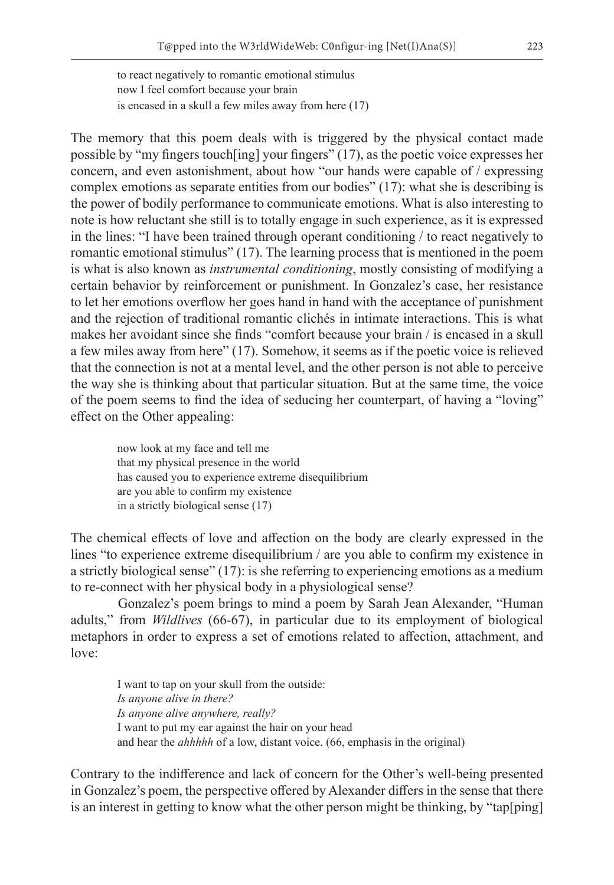to react negatively to romantic emotional stimulus now I feel comfort because your brain is encased in a skull a few miles away from here (17)

The memory that this poem deals with is triggered by the physical contact made possible by "my fingers touch[ing] your fingers" (17), as the poetic voice expresses her concern, and even astonishment, about how "our hands were capable of / expressing complex emotions as separate entities from our bodies" (17): what she is describing is the power of bodily performance to communicate emotions. What is also interesting to note is how reluctant she still is to totally engage in such experience, as it is expressed in the lines: "I have been trained through operant conditioning / to react negatively to romantic emotional stimulus" (17). The learning process that is mentioned in the poem is what is also known as *instrumental conditioning*, mostly consisting of modifying a certain behavior by reinforcement or punishment. In Gonzalez's case, her resistance to let her emotions overflow her goes hand in hand with the acceptance of punishment and the rejection of traditional romantic clichés in intimate interactions. This is what makes her avoidant since she finds "comfort because your brain / is encased in a skull a few miles away from here" (17). Somehow, it seems as if the poetic voice is relieved that the connection is not at a mental level, and the other person is not able to perceive the way she is thinking about that particular situation. But at the same time, the voice of the poem seems to find the idea of seducing her counterpart, of having a "loving" effect on the Other appealing:

now look at my face and tell me that my physical presence in the world has caused you to experience extreme disequilibrium are you able to confirm my existence in a strictly biological sense (17)

The chemical effects of love and affection on the body are clearly expressed in the lines "to experience extreme disequilibrium / are you able to confirm my existence in a strictly biological sense" (17): is she referring to experiencing emotions as a medium to re-connect with her physical body in a physiological sense?

Gonzalez's poem brings to mind a poem by Sarah Jean Alexander, "Human adults," from *Wildlives* (66-67), in particular due to its employment of biological metaphors in order to express a set of emotions related to affection, attachment, and love:

I want to tap on your skull from the outside: *Is anyone alive in there? Is anyone alive anywhere, really?* I want to put my ear against the hair on your head and hear the *ahhhhh* of a low, distant voice. (66, emphasis in the original)

Contrary to the indifference and lack of concern for the Other's well-being presented in Gonzalez's poem, the perspective offered by Alexander differs in the sense that there is an interest in getting to know what the other person might be thinking, by "tap[ping]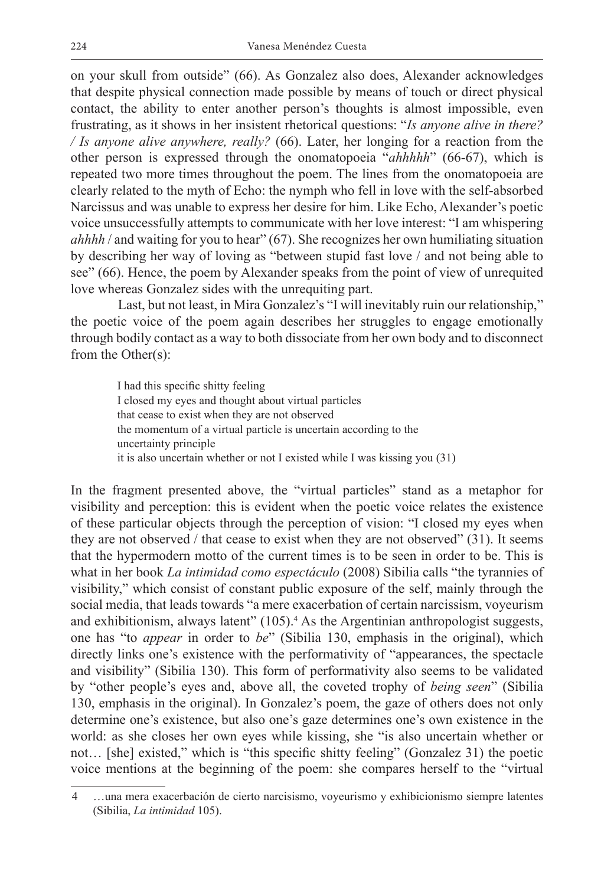on your skull from outside" (66). As Gonzalez also does, Alexander acknowledges that despite physical connection made possible by means of touch or direct physical contact, the ability to enter another person's thoughts is almost impossible, even frustrating, as it shows in her insistent rhetorical questions: "*Is anyone alive in there? / Is anyone alive anywhere, really?* (66). Later, her longing for a reaction from the other person is expressed through the onomatopoeia "*ahhhhh*" (66-67), which is repeated two more times throughout the poem. The lines from the onomatopoeia are clearly related to the myth of Echo: the nymph who fell in love with the self-absorbed Narcissus and was unable to express her desire for him. Like Echo, Alexander's poetic voice unsuccessfully attempts to communicate with her love interest: "I am whispering *ahhhh* / and waiting for you to hear" (67). She recognizes her own humiliating situation by describing her way of loving as "between stupid fast love / and not being able to see" (66). Hence, the poem by Alexander speaks from the point of view of unrequited love whereas Gonzalez sides with the unrequiting part.

Last, but not least, in Mira Gonzalez's "I will inevitably ruin our relationship," the poetic voice of the poem again describes her struggles to engage emotionally through bodily contact as a way to both dissociate from her own body and to disconnect from the Other(s):

I had this specific shitty feeling I closed my eyes and thought about virtual particles that cease to exist when they are not observed the momentum of a virtual particle is uncertain according to the uncertainty principle it is also uncertain whether or not I existed while I was kissing you (31)

In the fragment presented above, the "virtual particles" stand as a metaphor for visibility and perception: this is evident when the poetic voice relates the existence of these particular objects through the perception of vision: "I closed my eyes when they are not observed / that cease to exist when they are not observed" (31). It seems that the hypermodern motto of the current times is to be seen in order to be. This is what in her book *La intimidad como espectáculo* (2008) Sibilia calls "the tyrannies of visibility," which consist of constant public exposure of the self, mainly through the social media, that leads towards "a mere exacerbation of certain narcissism, voyeurism and exhibitionism, always latent" (105).<sup>4</sup> As the Argentinian anthropologist suggests, one has "to *appear* in order to *be*" (Sibilia 130, emphasis in the original), which directly links one's existence with the performativity of "appearances, the spectacle and visibility" (Sibilia 130). This form of performativity also seems to be validated by "other people's eyes and, above all, the coveted trophy of *being seen*" (Sibilia 130, emphasis in the original). In Gonzalez's poem, the gaze of others does not only determine one's existence, but also one's gaze determines one's own existence in the world: as she closes her own eyes while kissing, she "is also uncertain whether or not… [she] existed," which is "this specific shitty feeling" (Gonzalez 31) the poetic voice mentions at the beginning of the poem: she compares herself to the "virtual

<sup>4</sup> …una mera exacerbación de cierto narcisismo, voyeurismo y exhibicionismo siempre latentes (Sibilia, *La intimidad* 105).